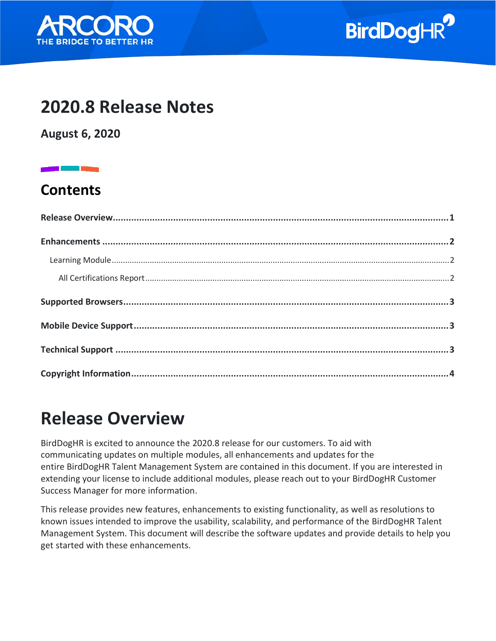



### **2020.8 Release Notes**

**August 6, 2020**

### **Contents**

### <span id="page-0-0"></span>**Release Overview**

BirdDogHR is excited to announce the 2020.8 release for our customers. To aid with communicating updates on multiple modules, all enhancements and updates for the entire BirdDogHR Talent Management System are contained in this document. If you are interested in extending your license to include additional modules, please reach out to your BirdDogHR Customer Success Manager for more information.

This release provides new features, enhancements to existing functionality, as well as resolutions to known issues intended to improve the usability, scalability, and performance of the BirdDogHR Talent Management System. This document will describe the software updates and provide details to help you get started with these enhancements.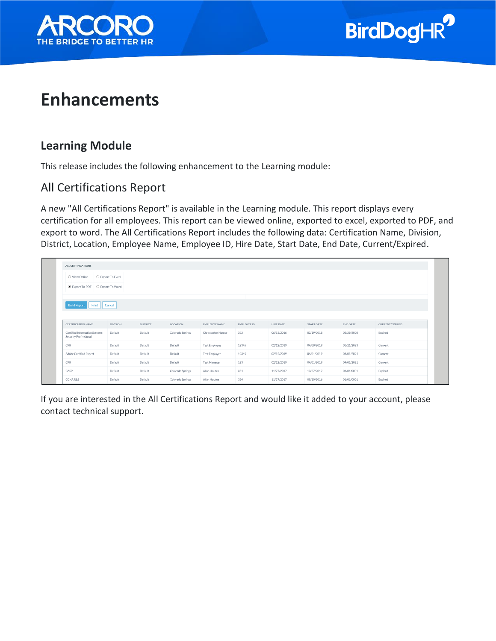



### <span id="page-1-0"></span>**Enhancements**

#### <span id="page-1-1"></span>**Learning Module**

This release includes the following enhancement to the Learning module:

#### <span id="page-1-2"></span>All Certifications Report

A new "All Certifications Report" is available in the Learning module. This report displays every certification for all employees. This report can be viewed online, exported to excel, exported to PDF, and export to word. The All Certifications Report includes the following data: Certification Name, Division, District, Location, Employee Name, Employee ID, Hire Date, Start Date, End Date, Current/Expired.

| ALL CERTIFICATIONS                     |                   |                 |                  |                      |             |                  |                   |            |                 |
|----------------------------------------|-------------------|-----------------|------------------|----------------------|-------------|------------------|-------------------|------------|-----------------|
| O View Online                          | ○ Export To Excel |                 |                  |                      |             |                  |                   |            |                 |
| C Export To PDF C Export To Word       |                   |                 |                  |                      |             |                  |                   |            |                 |
| <b>Build Report</b><br>Print<br>Cancel |                   |                 |                  |                      |             |                  |                   |            |                 |
| <b>CERTIFICATION NAME</b>              | <b>DIVISION</b>   | <b>DISTRICT</b> | LOCATION         | EMPLOYEE NAME        | EMPLOYEE ID | <b>HIRE DATE</b> | <b>START DATE</b> | END DATE   | CURRENT/EXPIRED |
| Certified Information Systems          |                   |                 |                  |                      |             |                  |                   |            |                 |
| Security Professional                  | Default           | Default         | Colorado Springs | Christopher Harper   | 322         | 06/13/2016       | 03/19/2018        | 02/29/2020 | Expired         |
| CPR                                    | Default           | Default         | Default          | <b>Test Employee</b> | 12345       | 02/12/2019       | 04/08/2019        | 03/21/2023 | Current         |
| Adobe Certified Expert                 | Default           | Default         | Default          | <b>Test Employee</b> | 12345       | 02/12/2019       | 04/01/2019        | 04/01/2024 | Current         |
| CPR                                    | Default           | Default         | Default          | <b>Test Manager</b>  | 123         | 02/12/2019       | 04/01/2019        | 04/01/2021 | Current         |
| CASP                                   | Default           | Default         | Colorado Springs | Allan Hautea         | 354         | 11/27/2017       | 10/27/2017        | 01/01/0001 | Expired         |

If you are interested in the All Certifications Report and would like it added to your account, please contact technical support.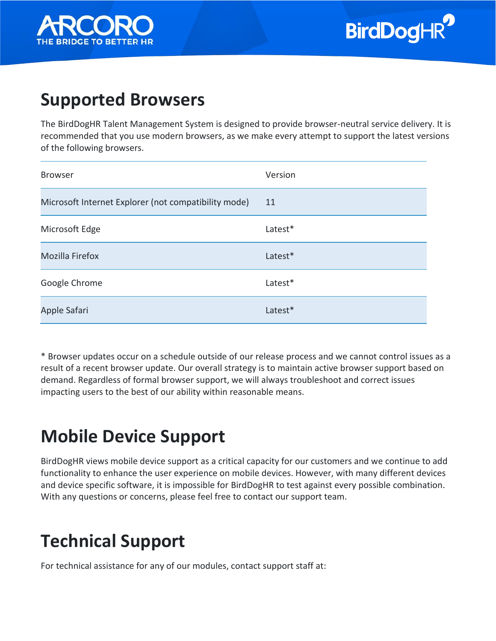

### <span id="page-2-0"></span>**Supported Browsers**

The BirdDogHR Talent Management System is designed to provide browser-neutral service delivery. It is recommended that you use modern browsers, as we make every attempt to support the latest versions of the following browsers.

| <b>Browser</b>                                       | Version |
|------------------------------------------------------|---------|
| Microsoft Internet Explorer (not compatibility mode) | 11      |
| Microsoft Edge                                       | Latest* |
| <b>Mozilla Firefox</b>                               | Latest* |
| Google Chrome                                        | Latest* |
| Apple Safari                                         | Latest* |

\* Browser updates occur on a schedule outside of our release process and we cannot control issues as a result of a recent browser update. Our overall strategy is to maintain active browser support based on demand. Regardless of formal browser support, we will always troubleshoot and correct issues impacting users to the best of our ability within reasonable means.

# <span id="page-2-1"></span>**Mobile Device Support**

BirdDogHR views mobile device support as a critical capacity for our customers and we continue to add functionality to enhance the user experience on mobile devices. However, with many different devices and device specific software, it is impossible for BirdDogHR to test against every possible combination. With any questions or concerns, please feel free to contact our support team.

# <span id="page-2-2"></span>**Technical Support**

For technical assistance for any of our modules, contact support staff at: